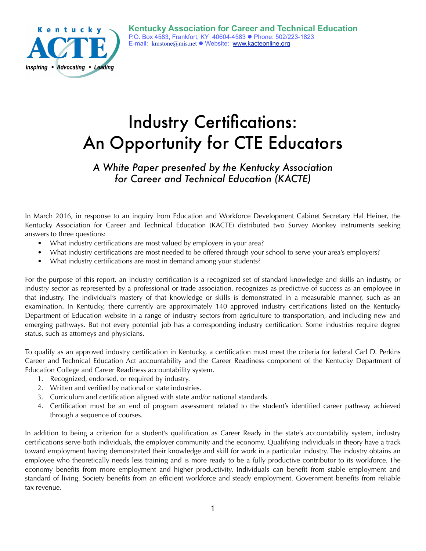

# Industry Certifications: An Opportunity for CTE Educators

## *A White Paper presented by the Kentucky Association for Career and Technical Education (KACTE)*

In March 2016, in response to an inquiry from Education and Workforce Development Cabinet Secretary Hal Heiner, the Kentucky Association for Career and Technical Education (KACTE) distributed two Survey Monkey instruments seeking answers to three questions:

- What industry certifications are most valued by employers in your area?
- What industry certifications are most needed to be offered through your school to serve your area's employers?
- What industry certifications are most in demand among your students?

For the purpose of this report, an industry certification is a recognized set of standard knowledge and skills an industry, or industry sector as represented by a professional or trade association, recognizes as predictive of success as an employee in that industry. The individual's mastery of that knowledge or skills is demonstrated in a measurable manner, such as an examination. In Kentucky, there currently are approximately 140 approved industry certifications listed on the Kentucky Department of Education website in a range of industry sectors from agriculture to transportation, and including new and emerging pathways. But not every potential job has a corresponding industry certification. Some industries require degree status, such as attorneys and physicians.

To qualify as an approved industry certification in Kentucky, a certification must meet the criteria for federal Carl D. Perkins Career and Technical Education Act accountability and the Career Readiness component of the Kentucky Department of Education College and Career Readiness accountability system.

- 1. Recognized, endorsed, or required by industry.
- 2. Written and verified by national or state industries.
- 3. Curriculum and certification aligned with state and/or national standards.
- 4. Certification must be an end of program assessment related to the student's identified career pathway achieved through a sequence of courses.

In addition to being a criterion for a student's qualification as Career Ready in the state's accountability system, industry certifications serve both individuals, the employer community and the economy. Qualifying individuals in theory have a track toward employment having demonstrated their knowledge and skill for work in a particular industry. The industry obtains an employee who theoretically needs less training and is more ready to be a fully productive contributor to its workforce. The economy benefits from more employment and higher productivity. Individuals can benefit from stable employment and standard of living. Society benefits from an efficient workforce and steady employment. Government benefits from reliable tax revenue.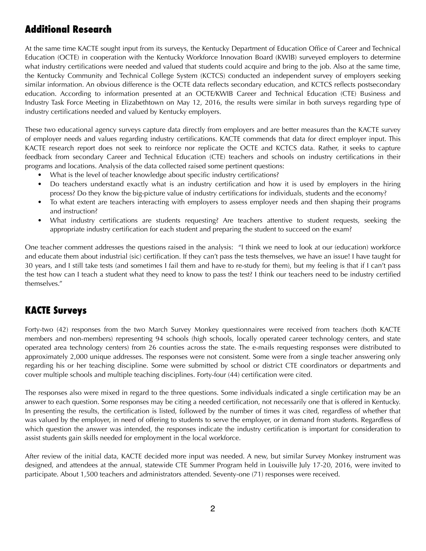## **Additional Research**

At the same time KACTE sought input from its surveys, the Kentucky Department of Education Office of Career and Technical Education (OCTE) in cooperation with the Kentucky Workforce Innovation Board (KWIB) surveyed employers to determine what industry certifications were needed and valued that students could acquire and bring to the job. Also at the same time, the Kentucky Community and Technical College System (KCTCS) conducted an independent survey of employers seeking similar information. An obvious difference is the OCTE data reflects secondary education, and KCTCS reflects postsecondary education. According to information presented at an OCTE/KWIB Career and Technical Education (CTE) Business and Industry Task Force Meeting in Elizabethtown on May 12, 2016, the results were similar in both surveys regarding type of industry certifications needed and valued by Kentucky employers.

These two educational agency surveys capture data directly from employers and are better measures than the KACTE survey of employer needs and values regarding industry certifications. KACTE commends that data for direct employer input. This KACTE research report does not seek to reinforce nor replicate the OCTE and KCTCS data. Rather, it seeks to capture feedback from secondary Career and Technical Education (CTE) teachers and schools on industry certifications in their programs and locations. Analysis of the data collected raised some pertinent questions:

- What is the level of teacher knowledge about specific industry certifications?
- Do teachers understand exactly what is an industry certification and how it is used by employers in the hiring process? Do they know the big-picture value of industry certifications for individuals, students and the economy?
- To what extent are teachers interacting with employers to assess employer needs and then shaping their programs and instruction?
- What industry certifications are students requesting? Are teachers attentive to student requests, seeking the appropriate industry certification for each student and preparing the student to succeed on the exam?

One teacher comment addresses the questions raised in the analysis: "I think we need to look at our (education) workforce and educate them about industrial (sic) certification. If they can't pass the tests themselves, we have an issue! I have taught for 30 years, and I still take tests (and sometimes I fail them and have to re-study for them), but my feeling is that if I can't pass the test how can I teach a student what they need to know to pass the test? I think our teachers need to be industry certified themselves."

## **KACTE Surveys**

Forty-two (42) responses from the two March Survey Monkey questionnaires were received from teachers (both KACTE members and non-members) representing 94 schools (high schools, locally operated career technology centers, and state operated area technology centers) from 26 counties across the state. The e-mails requesting responses were distributed to approximately 2,000 unique addresses. The responses were not consistent. Some were from a single teacher answering only regarding his or her teaching discipline. Some were submitted by school or district CTE coordinators or departments and cover multiple schools and multiple teaching disciplines. Forty-four (44) certification were cited.

The responses also were mixed in regard to the three questions. Some individuals indicated a single certification may be an answer to each question. Some responses may be citing a needed certification, not necessarily one that is offered in Kentucky. In presenting the results, the certification is listed, followed by the number of times it was cited, regardless of whether that was valued by the employer, in need of offering to students to serve the employer, or in demand from students. Regardless of which question the answer was intended, the responses indicate the industry certification is important for consideration to assist students gain skills needed for employment in the local workforce.

After review of the initial data, KACTE decided more input was needed. A new, but similar Survey Monkey instrument was designed, and attendees at the annual, statewide CTE Summer Program held in Louisville July 17-20, 2016, were invited to participate. About 1,500 teachers and administrators attended. Seventy-one (71) responses were received.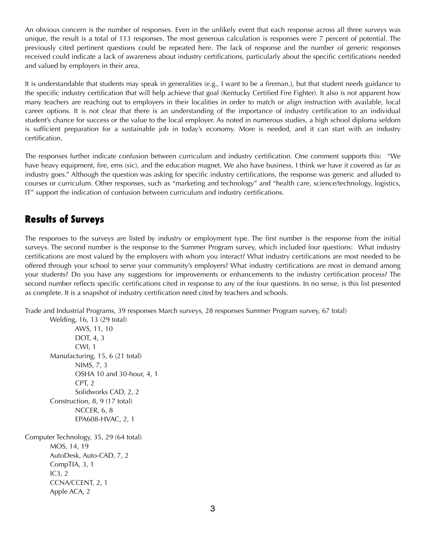An obvious concern is the number of responses. Even in the unlikely event that each response across all three surveys was unique, the result is a total of 113 responses. The most generous calculation is responses were 7 percent of potential. The previously cited pertinent questions could be repeated here. The lack of response and the number of generic responses received could indicate a lack of awareness about industry certifications, particularly about the specific certifications needed and valued by employers in their area.

It is understandable that students may speak in generalities (e.g., I want to be a fireman.), but that student needs guidance to the specific industry certification that will help achieve that goal (Kentucky Certified Fire Fighter). It also is not apparent how many teachers are reaching out to employers in their localities in order to match or align instruction with available, local career options. It is not clear that there is an understanding of the importance of industry certification to an individual student's chance for success or the value to the local employer. As noted in numerous studies, a high school diploma seldom is sufficient preparation for a sustainable job in today's economy. More is needed, and it can start with an industry certification.

The responses further indicate confusion between curriculum and industry certification. One comment supports this: "We have heavy equipment, fire, ems (sic), and the education magnet. We also have business. I think we have it covered as far as industry goes." Although the question was asking for specific industry certifications, the response was generic and alluded to courses or curriculum. Other responses, such as "marketing and technology" and "health care, science/technology, logistics, IT" support the indication of confusion between curriculum and industry certifications.

## **Results of Surveys**

The responses to the surveys are listed by industry or employment type. The first number is the response from the initial surveys. The second number is the response to the Summer Program survey, which included four questions: What industry certifications are most valued by the employers with whom you interact? What industry certifications are most needed to be offered through your school to serve your community's employers? What industry certifications are most in demand among your students? Do you have any suggestions for improvements or enhancements to the industry certification process? The second number reflects specific certifications cited in response to any of the four questions. In no sense, is this list presented as complete. It is a snapshot of industry certification need cited by teachers and schools.

Trade and Industrial Programs, 39 responses March surveys, 28 responses Summer Program survey, 67 total)

 Welding, 16, 13 (29 total) AWS, 11, 10 DOT, 4, 3 CWI, 1 Manufacturing, 15, 6 (21 total) NIMS, 7, 3 OSHA 10 and 30-hour, 4, 1 CPT, 2 Solidworks CAD, 2, 2 Construction, 8, 9 (17 total) NCCER, 6, 8 EPA608-HVAC, 2, 1

Computer Technology, 35, 29 (64 total) MOS, 14, 19 AutoDesk, Auto-CAD, 7, 2 CompTIA, 3, 1 IC3, 2 CCNA/CCENT, 2, 1 Apple ACA, 2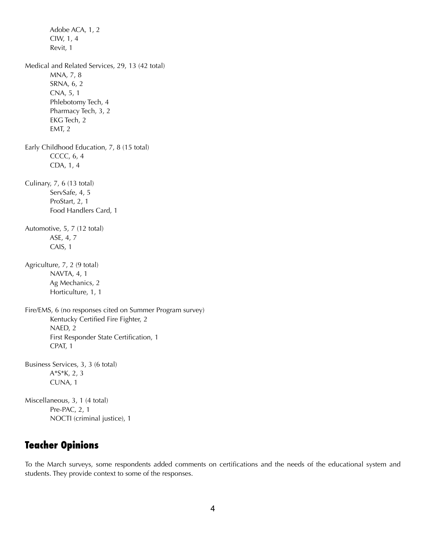Adobe ACA, 1, 2 CIW, 1, 4 Revit, 1 Medical and Related Services, 29, 13 (42 total) MNA, 7, 8 SRNA, 6, 2 CNA, 5, 1 Phlebotomy Tech, 4 Pharmacy Tech, 3, 2 EKG Tech, 2 EMT, 2 Early Childhood Education, 7, 8 (15 total) CCCC, 6, 4 CDA, 1, 4 Culinary, 7, 6 (13 total) ServSafe, 4, 5 ProStart, 2, 1 Food Handlers Card, 1 Automotive, 5, 7 (12 total) ASE, 4, 7 CAIS, 1 Agriculture, 7, 2 (9 total) NAVTA, 4, 1 Ag Mechanics, 2 Horticulture, 1, 1 Fire/EMS, 6 (no responses cited on Summer Program survey) Kentucky Certified Fire Fighter, 2 NAED, 2 First Responder State Certification, 1 CPAT, 1 Business Services, 3, 3 (6 total) A\*S\*K, 2, 3 CUNA, 1 Miscellaneous, 3, 1 (4 total) Pre-PAC, 2, 1 NOCTI (criminal justice), 1

## **Teacher Opinions**

To the March surveys, some respondents added comments on certifications and the needs of the educational system and students. They provide context to some of the responses.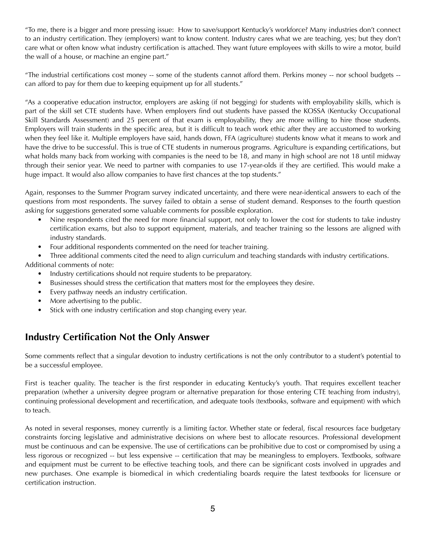"To me, there is a bigger and more pressing issue: How to save/support Kentucky's workforce? Many industries don't connect to an industry certification. They (employers) want to know content. Industry cares what we are teaching, yes; but they don't care what or often know what industry certification is attached. They want future employees with skills to wire a motor, build the wall of a house, or machine an engine part."

"The industrial certifications cost money -- some of the students cannot afford them. Perkins money -- nor school budgets - can afford to pay for them due to keeping equipment up for all students."

"As a cooperative education instructor, employers are asking (if not begging) for students with employability skills, which is part of the skill set CTE students have. When employers find out students have passed the KOSSA (Kentucky Occupational Skill Standards Assessment) and 25 percent of that exam is employability, they are more willing to hire those students. Employers will train students in the specific area, but it is difficult to teach work ethic after they are accustomed to working when they feel like it. Multiple employers have said, hands down, FFA (agriculture) students know what it means to work and have the drive to be successful. This is true of CTE students in numerous programs. Agriculture is expanding certifications, but what holds many back from working with companies is the need to be 18, and many in high school are not 18 until midway through their senior year. We need to partner with companies to use 17-year-olds if they are certified. This would make a huge impact. It would also allow companies to have first chances at the top students."

Again, responses to the Summer Program survey indicated uncertainty, and there were near-identical answers to each of the questions from most respondents. The survey failed to obtain a sense of student demand. Responses to the fourth question asking for suggestions generated some valuable comments for possible exploration.

- Nine respondents cited the need for more financial support, not only to lower the cost for students to take industry certification exams, but also to support equipment, materials, and teacher training so the lessons are aligned with industry standards.
- Four additional respondents commented on the need for teacher training.

• Three additional comments cited the need to align curriculum and teaching standards with industry certifications. Additional comments of note:

- Industry certifications should not require students to be preparatory.
- Businesses should stress the certification that matters most for the employees they desire.
- Every pathway needs an industry certification.
- More advertising to the public.
- Stick with one industry certification and stop changing every year.

## **Industry Certification Not the Only Answer**

Some comments reflect that a singular devotion to industry certifications is not the only contributor to a student's potential to be a successful employee.

First is teacher quality. The teacher is the first responder in educating Kentucky's youth. That requires excellent teacher preparation (whether a university degree program or alternative preparation for those entering CTE teaching from industry), continuing professional development and recertification, and adequate tools (textbooks, software and equipment) with which to teach.

As noted in several responses, money currently is a limiting factor. Whether state or federal, fiscal resources face budgetary constraints forcing legislative and administrative decisions on where best to allocate resources. Professional development must be continuous and can be expensive. The use of certifications can be prohibitive due to cost or compromised by using a less rigorous or recognized -- but less expensive -- certification that may be meaningless to employers. Textbooks, software and equipment must be current to be effective teaching tools, and there can be significant costs involved in upgrades and new purchases. One example is biomedical in which credentialing boards require the latest textbooks for licensure or certification instruction.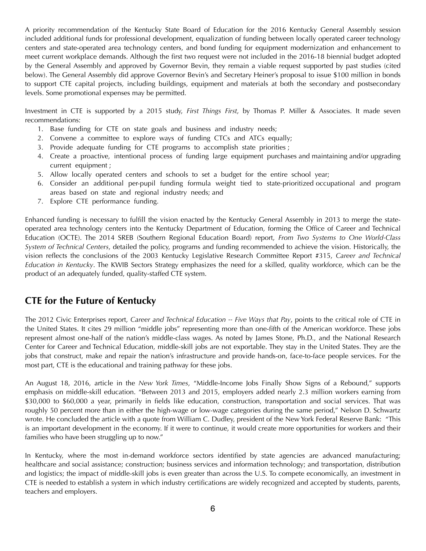A priority recommendation of the Kentucky State Board of Education for the 2016 Kentucky General Assembly session included additional funds for professional development, equalization of funding between locally operated career technology centers and state-operated area technology centers, and bond funding for equipment modernization and enhancement to meet current workplace demands. Although the first two request were not included in the 2016-18 biennial budget adopted by the General Assembly and approved by Governor Bevin, they remain a viable request supported by past studies (cited below). The General Assembly did approve Governor Bevin's and Secretary Heiner's proposal to issue \$100 million in bonds to support CTE capital projects, including buildings, equipment and materials at both the secondary and postsecondary levels. Some promotional expenses may be permitted.

Investment in CTE is supported by a 2015 study, *First Things First*, by Thomas P. Miller & Associates. It made seven recommendations:

- 1. Base funding for CTE on state goals and business and industry needs;
- 2. Convene a committee to explore ways of funding CTCs and ATCs equally;
- 3. Provide adequate funding for CTE programs to accomplish state priorities ;
- 4. Create a proactive, intentional process of funding large equipment purchases and maintaining and/or upgrading current equipment ;
- 5. Allow locally operated centers and schools to set a budget for the entire school year;
- 6. Consider an additional per-pupil funding formula weight tied to state-prioritized occupational and program areas based on state and regional industry needs; and
- 7. Explore CTE performance funding.

Enhanced funding is necessary to fulfill the vision enacted by the Kentucky General Assembly in 2013 to merge the stateoperated area technology centers into the Kentucky Department of Education, forming the Office of Career and Technical Education (OCTE). The 2014 SREB (Southern Regional Education Board) report, *From Two Systems to One World-Class System of Technical Centers*, detailed the policy, programs and funding recommended to achieve the vision. Historically, the vision reflects the conclusions of the 2003 Kentucky Legislative Research Committee Report #315, *Career and Technical Education in Kentucky*. The KWIB Sectors Strategy emphasizes the need for a skilled, quality workforce, which can be the product of an adequately funded, quality-staffed CTE system.

## **CTE for the Future of Kentucky**

The 2012 Civic Enterprises report, *Career and Technical Education -- Five Ways that Pay*, points to the critical role of CTE in the United States. It cites 29 million "middle jobs" representing more than one-fifth of the American workforce. These jobs represent almost one-half of the nation's middle-class wages. As noted by James Stone, Ph.D., and the National Research Center for Career and Technical Education, middle-skill jobs are not exportable. They stay in the United States. They are the jobs that construct, make and repair the nation's infrastructure and provide hands-on, face-to-face people services. For the most part, CTE is the educational and training pathway for these jobs.

An August 18, 2016, article in the *New York Times*, "Middle-Income Jobs Finally Show Signs of a Rebound," supports emphasis on middle-skill education. "Between 2013 and 2015, employers added nearly 2.3 million workers earning from \$30,000 to \$60,000 a year, primarily in fields like education, construction, transportation and social services. That was roughly 50 percent more than in either the high-wage or low-wage categories during the same period," Nelson D. Schwartz wrote. He concluded the article with a quote from William C. Dudley, president of the New York Federal Reserve Bank: "This is an important development in the economy. If it were to continue, it would create more opportunities for workers and their families who have been struggling up to now."

In Kentucky, where the most in-demand workforce sectors identified by state agencies are advanced manufacturing; healthcare and social assistance; construction; business services and information technology; and transportation, distribution and logistics; the impact of middle-skill jobs is even greater than across the U.S. To compete economically, an investment in CTE is needed to establish a system in which industry certifications are widely recognized and accepted by students, parents, teachers and employers.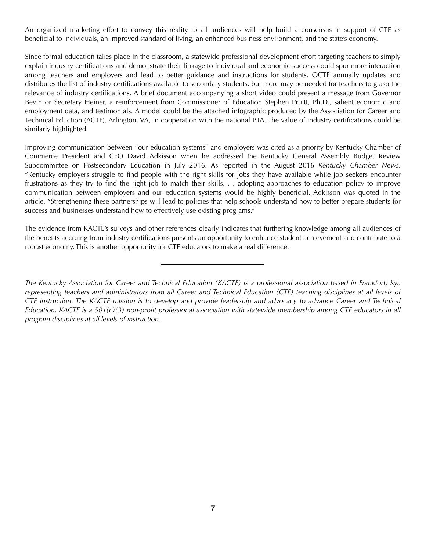An organized marketing effort to convey this reality to all audiences will help build a consensus in support of CTE as beneficial to individuals, an improved standard of living, an enhanced business environment, and the state's economy.

Since formal education takes place in the classroom, a statewide professional development effort targeting teachers to simply explain industry certifications and demonstrate their linkage to individual and economic success could spur more interaction among teachers and employers and lead to better guidance and instructions for students. OCTE annually updates and distributes the list of industry certifications available to secondary students, but more may be needed for teachers to grasp the relevance of industry certifications. A brief document accompanying a short video could present a message from Governor Bevin or Secretary Heiner, a reinforcement from Commissioner of Education Stephen Pruitt, Ph.D., salient economic and employment data, and testimonials. A model could be the attached infographic produced by the Association for Career and Technical Eduction (ACTE), Arlington, VA, in cooperation with the national PTA. The value of industry certifications could be similarly highlighted.

Improving communication between "our education systems" and employers was cited as a priority by Kentucky Chamber of Commerce President and CEO David Adkisson when he addressed the Kentucky General Assembly Budget Review Subcommittee on Postsecondary Education in July 2016. As reported in the August 2016 *Kentucky Chamber News*, "Kentucky employers struggle to find people with the right skills for jobs they have available while job seekers encounter frustrations as they try to find the right job to match their skills. . . adopting approaches to education policy to improve communication between employers and our education systems would be highly beneficial. Adkisson was quoted in the article, "Strengthening these partnerships will lead to policies that help schools understand how to better prepare students for success and businesses understand how to effectively use existing programs."

The evidence from KACTE's surveys and other references clearly indicates that furthering knowledge among all audiences of the benefits accruing from industry certifications presents an opportunity to enhance student achievement and contribute to a robust economy. This is another opportunity for CTE educators to make a real difference.

*The Kentucky Association for Career and Technical Education (KACTE) is a professional association based in Frankfort, Ky., representing teachers and administrators from all Career and Technical Education (CTE) teaching disciplines at all levels of CTE instruction. The KACTE mission is to develop and provide leadership and advocacy to advance Career and Technical Education. KACTE is a 501(c)(3) non-profit professional association with statewide membership among CTE educators in all program disciplines at all levels of instruction.*